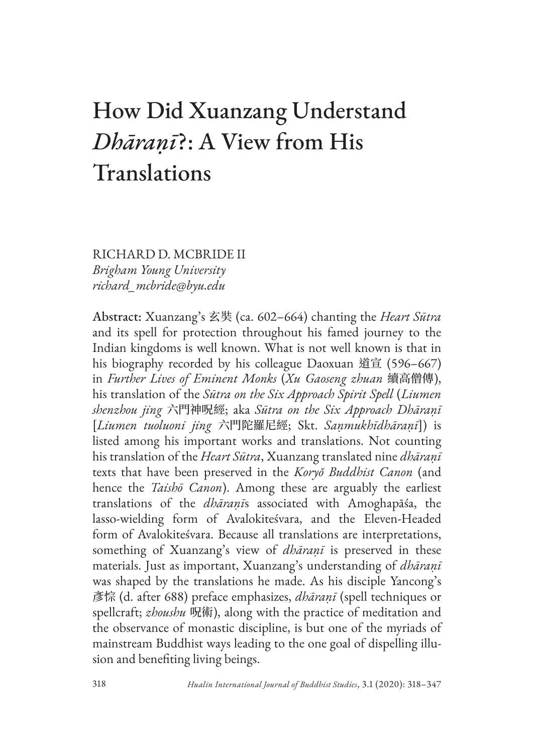# How Did Xuanzang Understand *Dhāraṇī*?: A View from His Translations

RICHARD D. MCBRIDE II *Brigham Young University richard\_mcbride@byu.edu*

Abstract: Xuanzang's 玄奘 (ca. 602–664) chanting the *Heart Sūtra* and its spell for protection throughout his famed journey to the Indian kingdoms is well known. What is not well known is that in his biography recorded by his colleague Daoxuan 道宣 (596–667) in *Further Lives of Eminent Monks* (*Xu Gaoseng zhuan* 續高僧傳), his translation of the *Sūtra on the Six Approach Spirit Spell* (*Liumen shenzhou jing* 六門神呪經; aka *Sūtra on the Six Approach Dhāraṇī* [*Liumen tuoluoni jing* 六門陀羅尼經; Skt. *Saṇmukhīdhāraṇī*]) is listed among his important works and translations. Not counting his translation of the *Heart Sūtra*, Xuanzang translated nine *dhāraṇī* texts that have been preserved in the *Koryŏ Buddhist Canon* (and hence the *Taishō Canon*). Among these are arguably the earliest translations of the *dhāraṇī*s associated with Amoghapāśa, the lasso-wielding form of Avalokiteśvara, and the Eleven-Headed form of Avalokiteśvara. Because all translations are interpretations, something of Xuanzang's view of *dhāraṇī* is preserved in these materials. Just as important, Xuanzang's understanding of *dhāraṇī* was shaped by the translations he made. As his disciple Yancong's 彥悰 (d. after 688) preface emphasizes, *dhāraṇī* (spell techniques or spellcraft; *zhoushu* 呪術), along with the practice of meditation and the observance of monastic discipline, is but one of the myriads of mainstream Buddhist ways leading to the one goal of dispelling illusion and benefiting living beings.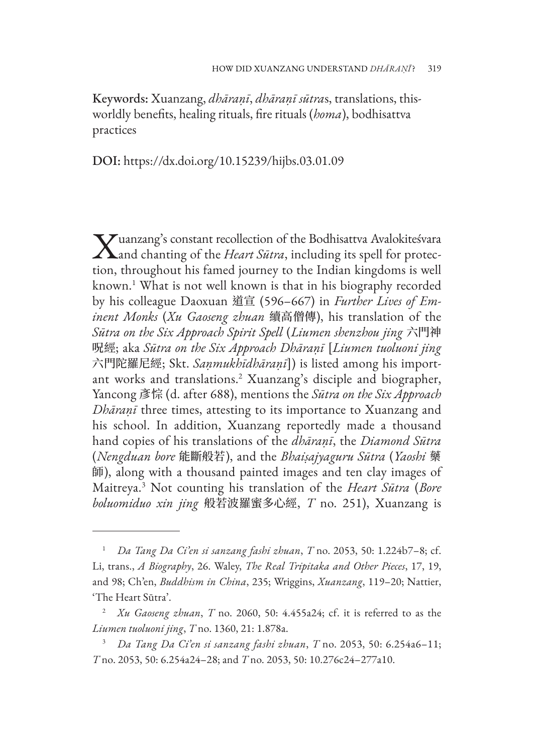Keywords: Xuanzang, *dhāraṇī*, *dhāraṇī sūtra*s, translations, thisworldly benefits, healing rituals, fire rituals (*homa*), bodhisattva practices

DOI: https://dx.doi.org/10.15239/hijbs.03.01.09

 $\bf V$ uanzang's constant recollection of the Bodhisattva Avalokiteśvara  $\boldsymbol{\Lambda}$ and chanting of the *Heart Sūtra*, including its spell for protection, throughout his famed journey to the Indian kingdoms is well known.1 What is not well known is that in his biography recorded by his colleague Daoxuan 道宣 (596–667) in *Further Lives of Eminent Monks* (*Xu Gaoseng zhuan* 續高僧傳), his translation of the *Sūtra on the Six Approach Spirit Spell* (*Liumen shenzhou jing* 六門神 呪經; aka *Sūtra on the Six Approach Dhāraṇī* [*Liumen tuoluoni jing* 六門陀羅尼經; Skt. *Saṇmukhīdhāraṇī*]) is listed among his important works and translations.2 Xuanzang's disciple and biographer, Yancong 彥悰 (d. after 688), mentions the *Sūtra on the Six Approach Dhāraṇī* three times, attesting to its importance to Xuanzang and his school. In addition, Xuanzang reportedly made a thousand hand copies of his translations of the *dhāraṇī*, the *Diamond Sūtra* (*Nengduan bore* 能斷般若), and the *Bhaiṣajyaguru Sūtra* (*Yaoshi* 藥 師), along with a thousand painted images and ten clay images of Maitreya.3 Not counting his translation of the *Heart Sūtra* (*Bore boluomiduo xin jing* 般若波羅蜜多心經, *T* no. 251), Xuanzang is

<sup>1</sup> *Da Tang Da Ci'en si sanzang fashi zhuan*, *T* no. 2053, 50: 1.224b7–8; cf. Li, trans., *A Biography*, 26. Waley, *The Real Tripitaka and Other Pieces*, 17, 19, and 98; Ch'en, *Buddhism in China*, 235; Wriggins, *Xuanzang*, 119–20; Nattier, 'The Heart Sūtra'.

<sup>2</sup> *Xu Gaoseng zhuan*, *T* no. 2060, 50: 4.455a24; cf. it is referred to as the *Liumen tuoluoni jing*, *T* no. 1360, 21: 1.878a.

<sup>3</sup> *Da Tang Da Ci'en si sanzang fashi zhuan*, *T* no. 2053, 50: 6.254a6–11; *T* no. 2053, 50: 6.254a24–28; and *T* no. 2053, 50: 10.276c24–277a10.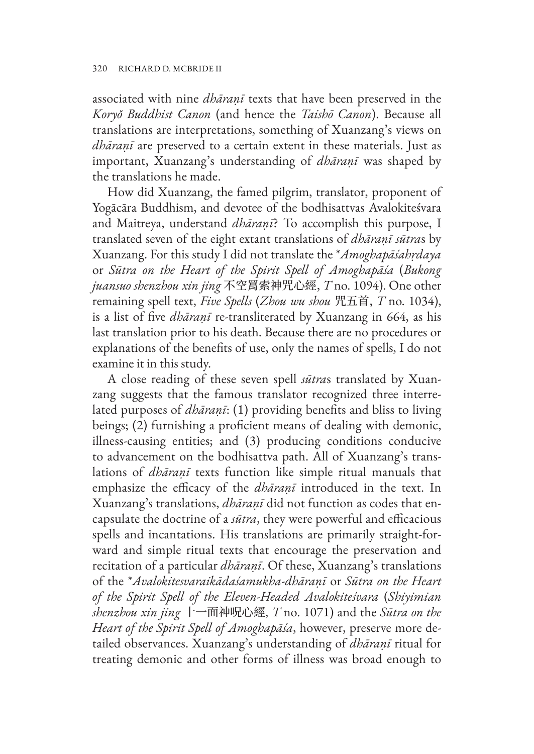associated with nine *dhāraṇī* texts that have been preserved in the *Koryŏ Buddhist Canon* (and hence the *Taishō Canon*). Because all translations are interpretations, something of Xuanzang's views on *dhāraṇī* are preserved to a certain extent in these materials. Just as important, Xuanzang's understanding of *dhāraṇī* was shaped by the translations he made.

How did Xuanzang, the famed pilgrim, translator, proponent of Yogācāra Buddhism, and devotee of the bodhisattvas Avalokiteśvara and Maitreya, understand *dhāraṇī*? To accomplish this purpose, I translated seven of the eight extant translations of *dhāraṇī sūtra*s by Xuanzang. For this study I did not translate the \**Amoghapāśahṛdaya* or *Sūtra on the Heart of the Spirit Spell of Amoghapāśa* (*Bukong juansuo shenzhou xin jing* 不空罥索神咒心經, *T* no. 1094). One other remaining spell text, *Five Spells* (*Zhou wu shou* 咒五首, *T* no. 1034), is a list of five *dhāraṇī* re-transliterated by Xuanzang in 664, as his last translation prior to his death. Because there are no procedures or explanations of the benefits of use, only the names of spells, I do not examine it in this study.

A close reading of these seven spell *sūtra*s translated by Xuanzang suggests that the famous translator recognized three interrelated purposes of *dhāraṇī*: (1) providing benefits and bliss to living beings; (2) furnishing a proficient means of dealing with demonic, illness-causing entities; and (3) producing conditions conducive to advancement on the bodhisattva path. All of Xuanzang's translations of *dhāraṇī* texts function like simple ritual manuals that emphasize the efficacy of the *dhāraṇī* introduced in the text. In Xuanzang's translations, *dhāraṇī* did not function as codes that encapsulate the doctrine of a *sūtra*, they were powerful and efficacious spells and incantations. His translations are primarily straight-forward and simple ritual texts that encourage the preservation and recitation of a particular *dhāraṇī*. Of these, Xuanzang's translations of the \**Avalokitesvaraikādaśamukha-dhāraṇī* or *Sūtra on the Heart of the Spirit Spell of the Eleven-Headed Avalokiteśvara* (*Shiyimian shenzhou xin jing* 十一面神呪心經, *T* no. 1071) and the *Sūtra on the Heart of the Spirit Spell of Amoghapāśa*, however, preserve more detailed observances. Xuanzang's understanding of *dhāraṇī* ritual for treating demonic and other forms of illness was broad enough to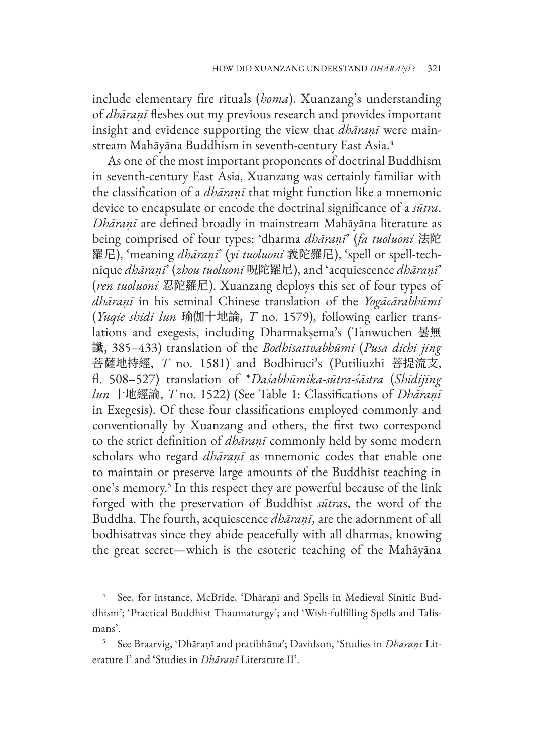include elementary fire rituals (*homa*). Xuanzang's understanding of *dhāraṇī* fleshes out my previous research and provides important insight and evidence supporting the view that *dhāraṇī* were mainstream Mahāyāna Buddhism in seventh-century East Asia.4

As one of the most important proponents of doctrinal Buddhism in seventh-century East Asia, Xuanzang was certainly familiar with the classification of a *dhāraṇī* that might function like a mnemonic device to encapsulate or encode the doctrinal significance of a *sūtra*. *Dhāraṇī* are defined broadly in mainstream Mahāyāna literature as being comprised of four types: 'dharma *dhāraṇī*' (*fa tuoluoni* 法陀 羅尼), 'meaning *dhāraṇī*' (*yi tuoluoni* 義陀羅尼), 'spell or spell-technique *dhāraṇī*' (*zhou tuoluoni* 呪陀羅尼), and 'acquiescence *dhāraṇī*' (*ren tuoluoni* 忍陀羅尼). Xuanzang deploys this set of four types of *dhāraṇī* in his seminal Chinese translation of the *Yogācārabhūmi* (*Yuqie shidi lun* 瑜伽十地論, *T* no. 1579), following earlier translations and exegesis, including Dharmakṣema's (Tanwuchen 曇無 讖, 385–433) translation of the *Bodhisattvabhūmi* (*Pusa dichi jing* 菩薩地持經, *T* no. 1581) and Bodhiruci's (Putiliuzhi 菩提流支, fl. 508–527) translation of \**Daśabhūmika-sūtra-śāstra* (*Shidijing lun* 十地經論, *T* no. 1522) (See Table 1: Classifications of *Dhāraṇī* in Exegesis). Of these four classifications employed commonly and conventionally by Xuanzang and others, the first two correspond to the strict definition of *dhāraṇī* commonly held by some modern scholars who regard *dhāraṇī* as mnemonic codes that enable one to maintain or preserve large amounts of the Buddhist teaching in one's memory.<sup>5</sup> In this respect they are powerful because of the link forged with the preservation of Buddhist *sūtra*s, the word of the Buddha. The fourth, acquiescence *dhāraṇī*, are the adornment of all bodhisattvas since they abide peacefully with all dharmas, knowing the great secret—which is the esoteric teaching of the Mahāyāna

<sup>4</sup> See, for instance, McBride, 'Dhāraṇī and Spells in Medieval Sinitic Buddhism'; 'Practical Buddhist Thaumaturgy'; and 'Wish-fulfilling Spells and Talismans'.

<sup>5</sup> See Braarvig, 'Dhāraṇī and pratibhāna'; Davidson, 'Studies in *Dhāraṇī* Literature I' and 'Studies in *Dhāraṇī* Literature II'.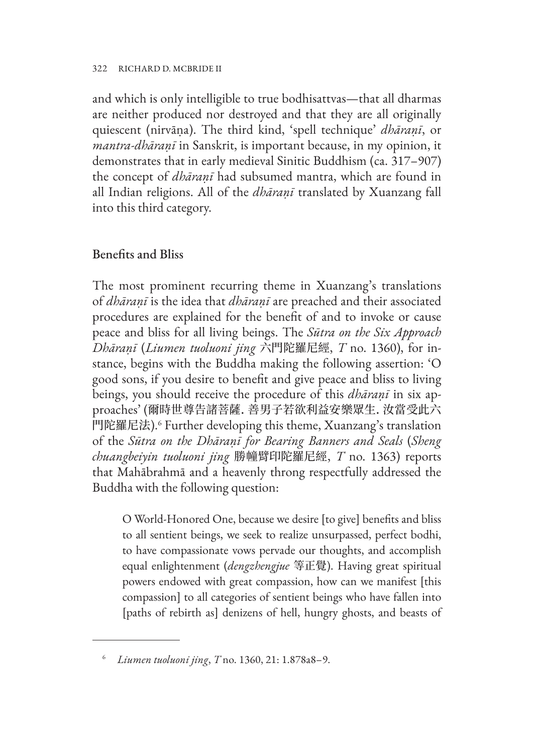#### 322 RICHARD D. MCBRIDE II

and which is only intelligible to true bodhisattvas—that all dharmas are neither produced nor destroyed and that they are all originally quiescent (nirvāṇa). The third kind, 'spell technique' *dhāraṇī*, or *mantra-dhāraṇī* in Sanskrit, is important because, in my opinion, it demonstrates that in early medieval Sinitic Buddhism (ca. 317–907) the concept of *dhāraṇī* had subsumed mantra, which are found in all Indian religions. All of the *dhāraṇī* translated by Xuanzang fall into this third category.

#### Benefits and Bliss

The most prominent recurring theme in Xuanzang's translations of *dhāraṇī* is the idea that *dhāraṇī* are preached and their associated procedures are explained for the benefit of and to invoke or cause peace and bliss for all living beings. The *Sūtra on the Six Approach Dhāraṇī* (*Liumen tuoluoni jing* 六門陀羅尼經, *T* no. 1360), for instance, begins with the Buddha making the following assertion: 'O good sons, if you desire to benefit and give peace and bliss to living beings, you should receive the procedure of this *dhāraṇī* in six approaches' (爾時世尊告諸菩薩. 善男子若欲利益安樂眾生. 汝當受此六 門陀羅尼法).<sup>6</sup> Further developing this theme, Xuanzang's translation of the *Sūtra on the Dhāraṇī for Bearing Banners and Seals* (*Sheng chuangbeiyin tuoluoni jing* 勝幢臂印陀羅尼經, *T* no. 1363) reports that Mahābrahmā and a heavenly throng respectfully addressed the Buddha with the following question:

O World-Honored One, because we desire [to give] benefits and bliss to all sentient beings, we seek to realize unsurpassed, perfect bodhi, to have compassionate vows pervade our thoughts, and accomplish equal enlightenment (*dengzhengjue* 等正覺). Having great spiritual powers endowed with great compassion, how can we manifest [this compassion] to all categories of sentient beings who have fallen into [paths of rebirth as] denizens of hell, hungry ghosts, and beasts of

<sup>6</sup> *Liumen tuoluoni jing*, *T* no. 1360, 21: 1.878a8–9.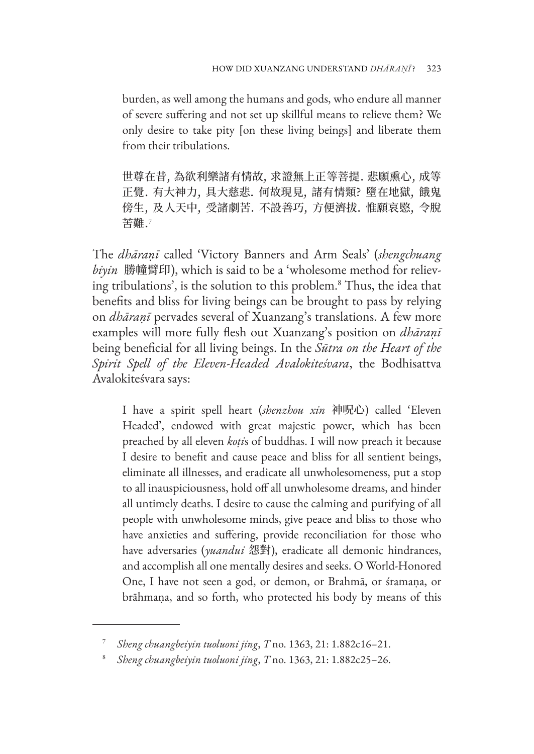burden, as well among the humans and gods, who endure all manner of severe suffering and not set up skillful means to relieve them? We only desire to take pity [on these living beings] and liberate them from their tribulations.

世尊在昔, 為欲利樂諸有情故, 求證無上正等菩提. 悲願熏心, 成等 正覺. 有大神力, 具大慈悲. 何故現見, 諸有情類? 墮在地獄, 餓鬼 傍生, 及人天中, 受諸劇苦. 不設善巧, 方便濟拔. 惟願哀愍, 令脫 苦難.<sup>7</sup>

The *dhāraṇī* called 'Victory Banners and Arm Seals' (*shengchuang biyin* 勝幢臂印), which is said to be a 'wholesome method for relieving tribulations', is the solution to this problem.8 Thus, the idea that benefits and bliss for living beings can be brought to pass by relying on *dhāraṇī* pervades several of Xuanzang's translations. A few more examples will more fully flesh out Xuanzang's position on *dhāraṇī* being beneficial for all living beings. In the *Sūtra on the Heart of the Spirit Spell of the Eleven-Headed Avalokiteśvara*, the Bodhisattva Avalokiteśvara says:

I have a spirit spell heart (*shenzhou xin* 神呪心) called 'Eleven Headed', endowed with great majestic power, which has been preached by all eleven *koṭi*s of buddhas. I will now preach it because I desire to benefit and cause peace and bliss for all sentient beings, eliminate all illnesses, and eradicate all unwholesomeness, put a stop to all inauspiciousness, hold off all unwholesome dreams, and hinder all untimely deaths. I desire to cause the calming and purifying of all people with unwholesome minds, give peace and bliss to those who have anxieties and suffering, provide reconciliation for those who have adversaries (*yuandui* 怨對), eradicate all demonic hindrances, and accomplish all one mentally desires and seeks. O World-Honored One, I have not seen a god, or demon, or Brahmā, or śramaṇa, or brāhmaṇa, and so forth, who protected his body by means of this

<sup>7</sup> *Sheng chuangbeiyin tuoluoni jing*, *T* no. 1363, 21: 1.882c16–21.

<sup>8</sup> *Sheng chuangbeiyin tuoluoni jing*, *T* no. 1363, 21: 1.882c25–26.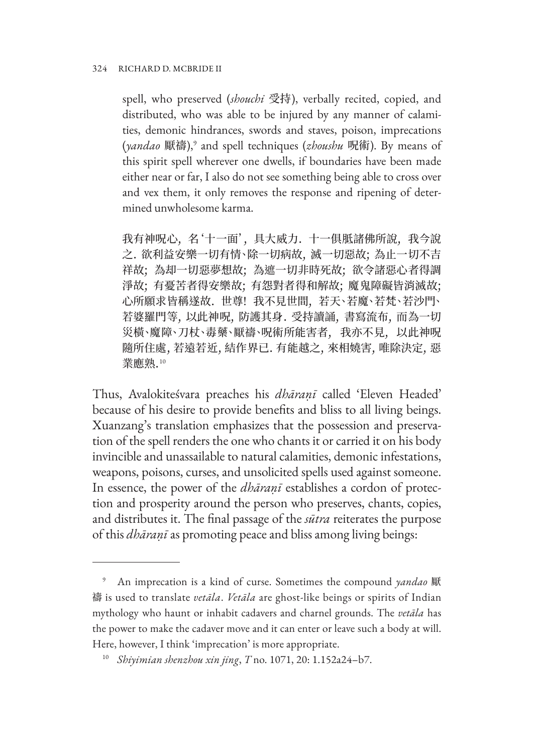#### 324 RICHARD D. MCBRIDE II

spell, who preserved (*shouchi* 受持), verbally recited, copied, and distributed, who was able to be injured by any manner of calamities, demonic hindrances, swords and staves, poison, imprecations (*yandao* 厭禱),9 and spell techniques (*zhoushu* 呪術). By means of this spirit spell wherever one dwells, if boundaries have been made either near or far, I also do not see something being able to cross over and vex them, it only removes the response and ripening of determined unwholesome karma.

我有神呪心, 名'十一面', 具大威力. 十一俱胝諸佛所說, 我今說 之. 欲利益安樂一切有情、除一切病故, 滅一切惡故; 為止一切不吉 祥故; 為却一切惡夢想故; 為遮一切非時死故; 欲令諸惡心者得調 淨故; 有憂苦者得安樂故; 有怨對者得和解故; 魔鬼障礙皆消滅故; 心所願求皆稱遂故. 世尊! 我不見世間, 若天、若魔、若梵、若沙門、 若婆羅門等, 以此神呪, 防護其身. 受持讀誦, 書寫流布, 而為一切 災橫、魔障、刀杖、毒藥、厭禱、呪術所能害者, 我亦不見, 以此神呪 隨所住處, 若遠若近, 結作界已. 有能越之, 來相嬈害, 唯除決定, 惡 業應熟.<sup>10</sup>

Thus, Avalokiteśvara preaches his *dhāraṇī* called 'Eleven Headed' because of his desire to provide benefits and bliss to all living beings. Xuanzang's translation emphasizes that the possession and preservation of the spell renders the one who chants it or carried it on his body invincible and unassailable to natural calamities, demonic infestations, weapons, poisons, curses, and unsolicited spells used against someone. In essence, the power of the *dhāraṇī* establishes a cordon of protection and prosperity around the person who preserves, chants, copies, and distributes it. The final passage of the *sūtra* reiterates the purpose of this *dhāraṇī* as promoting peace and bliss among living beings:

<sup>9</sup> An imprecation is a kind of curse. Sometimes the compound *yandao* 厭 禱 is used to translate *vetāla*. *Vetāla* are ghost-like beings or spirits of Indian mythology who haunt or inhabit cadavers and charnel grounds. The *vetāla* has the power to make the cadaver move and it can enter or leave such a body at will. Here, however, I think 'imprecation' is more appropriate.

<sup>10</sup> *Shiyimian shenzhou xin jing*, *T* no. 1071, 20: 1.152a24–b7.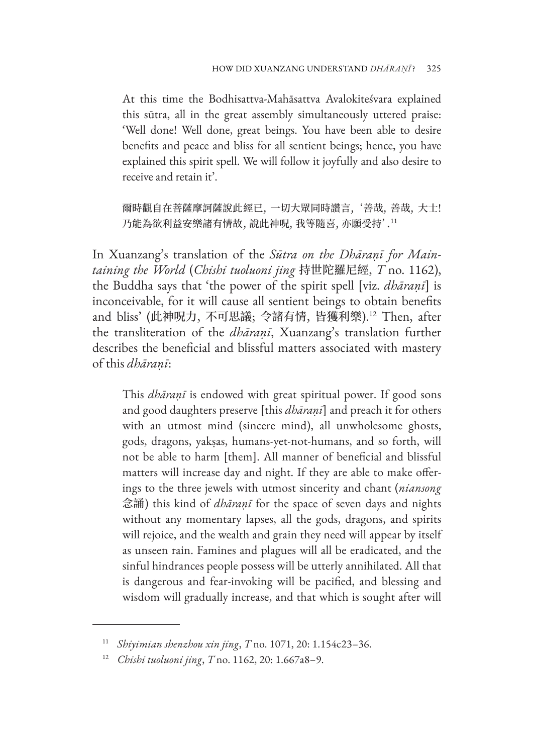At this time the Bodhisattva-Mahāsattva Avalokiteśvara explained this sūtra, all in the great assembly simultaneously uttered praise: 'Well done! Well done, great beings. You have been able to desire benefits and peace and bliss for all sentient beings; hence, you have explained this spirit spell. We will follow it joyfully and also desire to receive and retain it'.

爾時觀自在菩薩摩訶薩說此經已, 一切大眾同時讚言, '善哉, 善哉, 大士! 乃能為欲利益安樂諸有情故, 說此神呪, 我等隨喜, 亦願受持'.<sup>11</sup>

In Xuanzang's translation of the *Sūtra on the Dhāraṇī for Maintaining the World* (*Chishi tuoluoni jing* 持世陀羅尼經, *T* no. 1162), the Buddha says that 'the power of the spirit spell [viz. *dhāraṇī*] is inconceivable, for it will cause all sentient beings to obtain benefits and bliss' (此神呪力, 不可思議; 令諸有情, 皆獲利樂).12 Then, after the transliteration of the *dhāraṇī*, Xuanzang's translation further describes the beneficial and blissful matters associated with mastery of this *dhāraṇī*:

This *dhāraṇī* is endowed with great spiritual power. If good sons and good daughters preserve [this *dhāraṇī*] and preach it for others with an utmost mind (sincere mind), all unwholesome ghosts, gods, dragons, yakṣas, humans-yet-not-humans, and so forth, will not be able to harm [them]. All manner of beneficial and blissful matters will increase day and night. If they are able to make offerings to the three jewels with utmost sincerity and chant (*niansong* 念誦) this kind of *dhāraṇī* for the space of seven days and nights without any momentary lapses, all the gods, dragons, and spirits will rejoice, and the wealth and grain they need will appear by itself as unseen rain. Famines and plagues will all be eradicated, and the sinful hindrances people possess will be utterly annihilated. All that is dangerous and fear-invoking will be pacified, and blessing and wisdom will gradually increase, and that which is sought after will

<sup>11</sup> *Shiyimian shenzhou xin jing*, *T* no. 1071, 20: 1.154c23–36.

<sup>12</sup> *Chishi tuoluoni jing*, *T* no. 1162, 20: 1.667a8–9.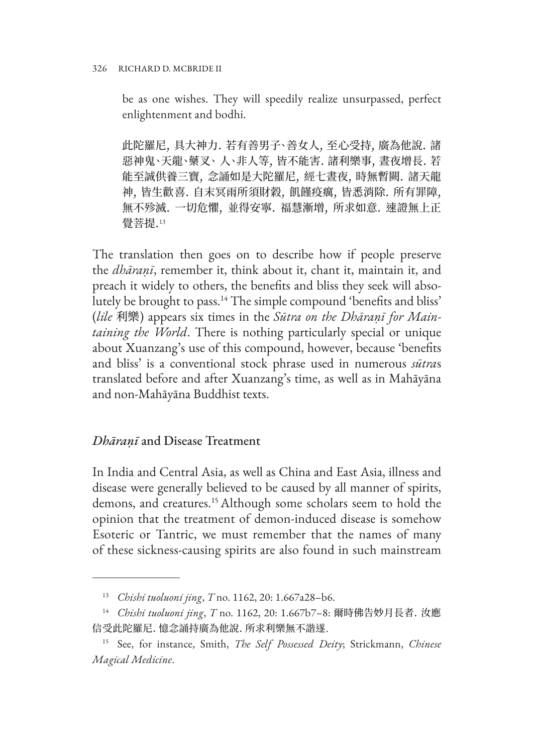be as one wishes. They will speedily realize unsurpassed, perfect enlightenment and bodhi.

此陀羅尼, 具大神力. 若有善男子、善女人, 至心受持, 廣為他說. 諸 惡神鬼、天龍、藥叉、 人、非人等, 皆不能害. 諸利樂事, 晝夜增長. 若 能至誠供養三寶, 念誦如是大陀羅尼, 經七晝夜, 時無暫闕. 諸天龍 神, 皆生歡喜. 自末冥雨所須財穀, 飢饉疫癘, 皆悉消除. 所有罪障, 無不殄滅. 一切危懼, 並得安寧. 福慧漸增, 所求如意. 速證無上正 覺菩提.<sup>13</sup>

The translation then goes on to describe how if people preserve the *dhāraṇī*, remember it, think about it, chant it, maintain it, and preach it widely to others, the benefits and bliss they seek will absolutely be brought to pass.<sup>14</sup> The simple compound 'benefits and bliss' (*lile* 利樂) appears six times in the *Sūtra on the Dhāraṇī for Maintaining the World*. There is nothing particularly special or unique about Xuanzang's use of this compound, however, because 'benefits and bliss' is a conventional stock phrase used in numerous *sūtra*s translated before and after Xuanzang's time, as well as in Mahāyāna and non-Mahāyāna Buddhist texts.

#### *Dhāraṇī* and Disease Treatment

In India and Central Asia, as well as China and East Asia, illness and disease were generally believed to be caused by all manner of spirits, demons, and creatures.15 Although some scholars seem to hold the opinion that the treatment of demon-induced disease is somehow Esoteric or Tantric, we must remember that the names of many of these sickness-causing spirits are also found in such mainstream

<sup>13</sup> *Chishi tuoluoni jing*, *T* no. 1162, 20: 1.667a28–b6.

<sup>14</sup> *Chishi tuoluoni jing*, *T* no. 1162, 20: 1.667b7–8: 爾時佛告妙月長者. 汝應 信受此陀羅尼. 憶念誦持廣為他說. 所求利樂無不諧遂.

<sup>15</sup> See, for instance, Smith, *The Self Possessed Deity*; Strickmann, *Chinese Magical Medicine*.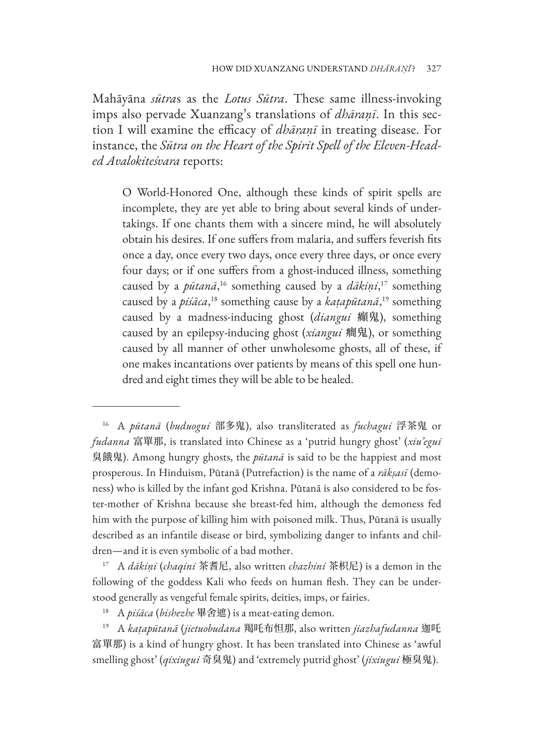Mahāyāna *sūtra*s as the *Lotus Sūtra*. These same illness-invoking imps also pervade Xuanzang's translations of *dhāraṇī*. In this section I will examine the efficacy of *dhāraṇī* in treating disease. For instance, the *Sūtra on the Heart of the Spirit Spell of the Eleven-Headed Avalokiteśvara* reports:

O World-Honored One, although these kinds of spirit spells are incomplete, they are yet able to bring about several kinds of undertakings. If one chants them with a sincere mind, he will absolutely obtain his desires. If one suffers from malaria, and suffers feverish fits once a day, once every two days, once every three days, or once every four days; or if one suffers from a ghost-induced illness, something caused by a *pūtanā*, 16 something caused by a *dākiṇi*, 17 something caused by a *piśāca*, 18 something cause by a *kaṭapūtanā*, 19 something caused by a madness-inducing ghost (*diangui* 癲鬼), something caused by an epilepsy-inducing ghost (*xiangui* 癎鬼), or something caused by all manner of other unwholesome ghosts, all of these, if one makes incantations over patients by means of this spell one hundred and eight times they will be able to be healed.

<sup>17</sup> A *dākiṇi* (*chaqini* 茶耆尼, also written *chazhini* 茶枳尼) is a demon in the following of the goddess Kali who feeds on human flesh. They can be understood generally as vengeful female spirits, deities, imps, or fairies.

<sup>19</sup> A *kaṭapūtanā* (*jietuobudana* 羯吒布怛那, also written *jiazhafudanna* 迦吒 富單那) is a kind of hungry ghost. It has been translated into Chinese as 'awful smelling ghost' (*qixiugui* 奇臭鬼) and 'extremely putrid ghost' (*jixiugui* 極臭鬼).

<sup>16</sup> A *pūtanā* (*buduogui* 部多鬼), also transliterated as *fuchagui* 浮茶鬼 or *fudanna* 富單那, is translated into Chinese as a 'putrid hungry ghost' (*xiu'egui*  臭餓鬼). Among hungry ghosts, the *pūtanā* is said to be the happiest and most prosperous. In Hinduism, Pūtanā (Putrefaction) is the name of a *rākṣasī* (demoness) who is killed by the infant god Krishna. Pūtanā is also considered to be foster-mother of Krishna because she breast-fed him, although the demoness fed him with the purpose of killing him with poisoned milk. Thus, Pūtanā is usually described as an infantile disease or bird, symbolizing danger to infants and children—and it is even symbolic of a bad mother.

<sup>18</sup> A *piśāca* (*bishezhe* 畢舍遮) is a meat-eating demon.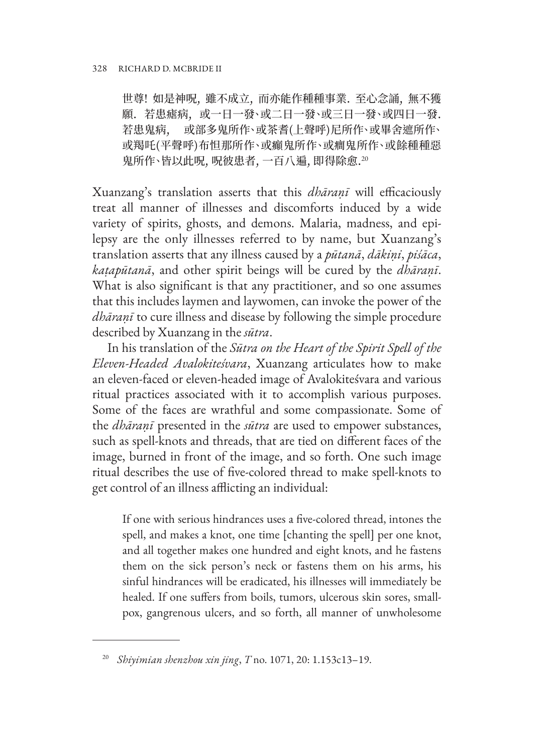世尊! 如是神呪, 雖不成立, 而亦能作種種事業. 至心念誦, 無不獲 願. 若患瘧病, 或一日一發、或二日一發、或三日一發、或四日一發. 若患鬼病, 或部多鬼所作、或茶耆(上聲呼)尼所作、或畢舍遮所作、 或羯吒(平聲呼)布怛那所作、或癲鬼所作、或癎鬼所作、或餘種種惡 鬼所作、皆以此呪,呪彼患者,一百八遍,即得除愈.20

Xuanzang's translation asserts that this *dhāraṇī* will efficaciously treat all manner of illnesses and discomforts induced by a wide variety of spirits, ghosts, and demons. Malaria, madness, and epilepsy are the only illnesses referred to by name, but Xuanzang's translation asserts that any illness caused by a *pūtanā*, *dākiṇi*, *piśāca*, *kaṭapūtanā*, and other spirit beings will be cured by the *dhāraṇī*. What is also significant is that any practitioner, and so one assumes that this includes laymen and laywomen, can invoke the power of the *dhāraṇī* to cure illness and disease by following the simple procedure described by Xuanzang in the *sūtra*.

In his translation of the *Sūtra on the Heart of the Spirit Spell of the Eleven-Headed Avalokiteśvara*, Xuanzang articulates how to make an eleven-faced or eleven-headed image of Avalokiteśvara and various ritual practices associated with it to accomplish various purposes. Some of the faces are wrathful and some compassionate. Some of the *dhāraṇī* presented in the *sūtra* are used to empower substances, such as spell-knots and threads, that are tied on different faces of the image, burned in front of the image, and so forth. One such image ritual describes the use of five-colored thread to make spell-knots to get control of an illness afflicting an individual:

If one with serious hindrances uses a five-colored thread, intones the spell, and makes a knot, one time [chanting the spell] per one knot, and all together makes one hundred and eight knots, and he fastens them on the sick person's neck or fastens them on his arms, his sinful hindrances will be eradicated, his illnesses will immediately be healed. If one suffers from boils, tumors, ulcerous skin sores, smallpox, gangrenous ulcers, and so forth, all manner of unwholesome

<sup>20</sup> *Shiyimian shenzhou xin jing*, *T* no. 1071, 20: 1.153c13–19.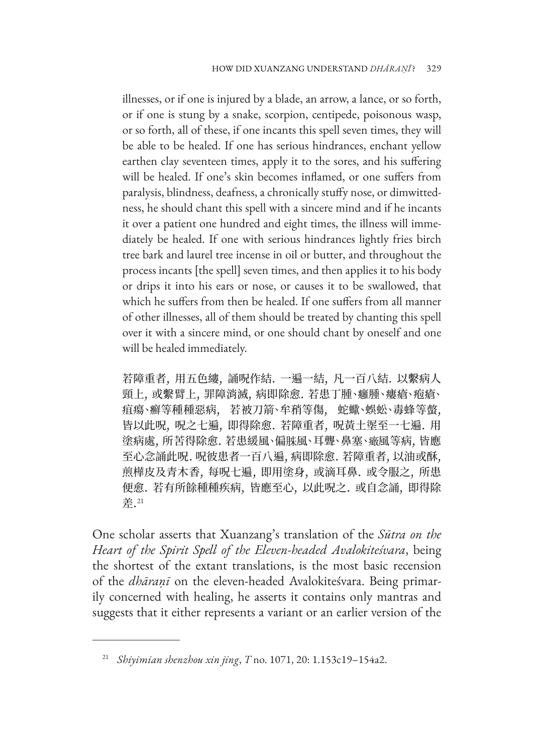illnesses, or if one is injured by a blade, an arrow, a lance, or so forth, or if one is stung by a snake, scorpion, centipede, poisonous wasp, or so forth, all of these, if one incants this spell seven times, they will be able to be healed. If one has serious hindrances, enchant yellow earthen clay seventeen times, apply it to the sores, and his suffering will be healed. If one's skin becomes inflamed, or one suffers from paralysis, blindness, deafness, a chronically stuffy nose, or dimwittedness, he should chant this spell with a sincere mind and if he incants it over a patient one hundred and eight times, the illness will immediately be healed. If one with serious hindrances lightly fries birch tree bark and laurel tree incense in oil or butter, and throughout the process incants [the spell] seven times, and then applies it to his body or drips it into his ears or nose, or causes it to be swallowed, that which he suffers from then be healed. If one suffers from all manner of other illnesses, all of them should be treated by chanting this spell over it with a sincere mind, or one should chant by oneself and one will be healed immediately.

若障重者, 用五色縷, 誦呪作結. 一遍一結, 凡一百八結. 以繫病人 頸上, 或繫臂上, 罪障消滅, 病即除愈. 若患丁腫、癰腫、瘻瘡、疱瘡、 疽瘍、癬等種種惡病, 若被刀箭、牟矟等傷, 蛇蠍、蜈蚣、毒蜂等螫, 皆以此呪, 呪之七遍, 即得除愈. 若障重者, 呪黃土埿至一七遍. 用 塗病處, 所苦得除愈. 若患緩風、偏肤風、耳聾、鼻塞、癥風等病, 皆應 至心念誦此呪. 呪彼患者一百八遍, 病即除愈. 若障重者, 以油或酥, 煎樺皮及青木香, 每呪七遍, 即用塗身, 或滴耳鼻. 或令服之, 所患 便愈. 若有所餘種種疾病, 皆應至心, 以此呪之. 或自念誦, 即得除 差.21

One scholar asserts that Xuanzang's translation of the *Sūtra on the Heart of the Spirit Spell of the Eleven-headed Avalokiteśvara*, being the shortest of the extant translations, is the most basic recension of the *dhāraṇī* on the eleven-headed Avalokiteśvara. Being primarily concerned with healing, he asserts it contains only mantras and suggests that it either represents a variant or an earlier version of the

<sup>21</sup> *Shiyimian shenzhou xin jing*, *T* no. 1071, 20: 1.153c19–154a2.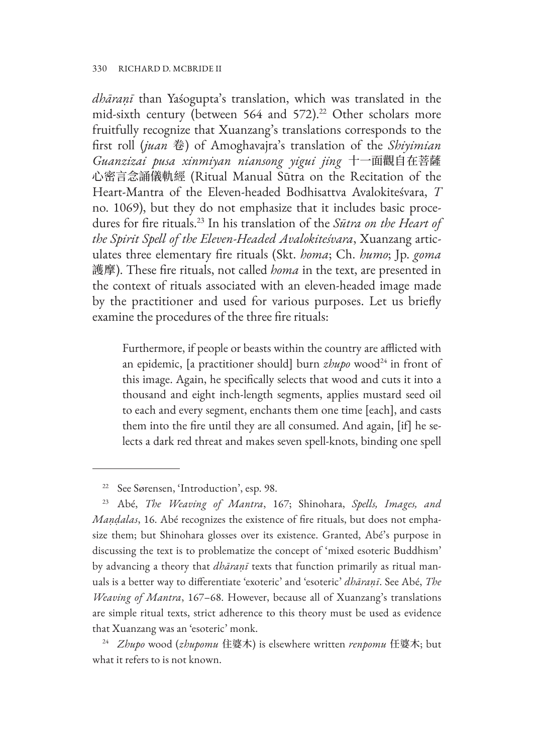#### 330 RICHARD D. MCBRIDE II

*dhāraṇī* than Yaśogupta's translation, which was translated in the mid-sixth century (between 564 and 572).<sup>22</sup> Other scholars more fruitfully recognize that Xuanzang's translations corresponds to the first roll (*juan* 卷) of Amoghavajra's translation of the *Shiyimian Guanzizai pusa xinmiyan niansong yigui jing* 十一面觀自在菩薩 心密言念誦儀軌經 (Ritual Manual Sūtra on the Recitation of the Heart-Mantra of the Eleven-headed Bodhisattva Avalokiteśvara, *T* no. 1069), but they do not emphasize that it includes basic procedures for fire rituals.23 In his translation of the *Sūtra on the Heart of the Spirit Spell of the Eleven-Headed Avalokiteśvara*, Xuanzang articulates three elementary fire rituals (Skt. *homa*; Ch. *humo*; Jp. *goma* 護摩). These fire rituals, not called *homa* in the text, are presented in the context of rituals associated with an eleven-headed image made by the practitioner and used for various purposes. Let us briefly examine the procedures of the three fire rituals:

Furthermore, if people or beasts within the country are afflicted with an epidemic, [a practitioner should] burn *zhupo* wood<sup>24</sup> in front of this image. Again, he specifically selects that wood and cuts it into a thousand and eight inch-length segments, applies mustard seed oil to each and every segment, enchants them one time [each], and casts them into the fire until they are all consumed. And again, [if] he selects a dark red threat and makes seven spell-knots, binding one spell

<sup>24</sup> *Zhupo* wood (*zhupomu* 住婆木) is elsewhere written *renpomu* 任婆木; but what it refers to is not known.

<sup>22</sup> See Sørensen, 'Introduction', esp. 98.

<sup>23</sup> Abé, *The Weaving of Mantra*, 167; Shinohara, *Spells, Images, and Maṇḍalas*, 16. Abé recognizes the existence of fire rituals, but does not emphasize them; but Shinohara glosses over its existence. Granted, Abé's purpose in discussing the text is to problematize the concept of 'mixed esoteric Buddhism' by advancing a theory that *dhāraṇī* texts that function primarily as ritual manuals is a better way to differentiate 'exoteric' and 'esoteric' *dhāraṇī*. See Abé, *The Weaving of Mantra*, 167–68. However, because all of Xuanzang's translations are simple ritual texts, strict adherence to this theory must be used as evidence that Xuanzang was an 'esoteric' monk.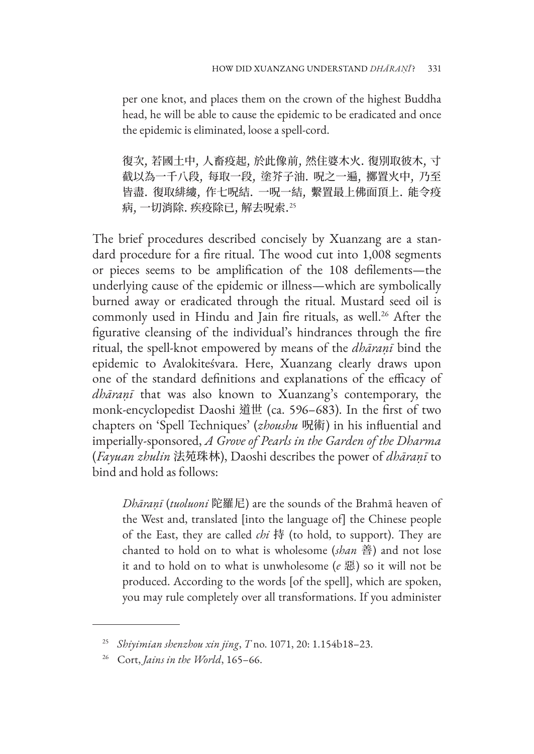per one knot, and places them on the crown of the highest Buddha head, he will be able to cause the epidemic to be eradicated and once the epidemic is eliminated, loose a spell-cord.

復次, 若國土中, 人畜疫起, 於此像前, 然住婆木火. 復別取彼木, 寸 截以為一千八段, 每取一段, 塗芥子油. 呪之一遍, 擲置火中, 乃至 皆盡. 復取緋縷, 作七呪結. 一呪一結, 繫置最上佛面頂上. 能令疫 病, 一切消除. 疾疫除已, 解去呪索.<sup>25</sup>

The brief procedures described concisely by Xuanzang are a standard procedure for a fire ritual. The wood cut into 1,008 segments or pieces seems to be amplification of the 108 defilements—the underlying cause of the epidemic or illness—which are symbolically burned away or eradicated through the ritual. Mustard seed oil is commonly used in Hindu and Jain fire rituals, as well.<sup>26</sup> After the figurative cleansing of the individual's hindrances through the fire ritual, the spell-knot empowered by means of the *dhāraṇī* bind the epidemic to Avalokiteśvara. Here, Xuanzang clearly draws upon one of the standard definitions and explanations of the efficacy of *dhāraṇī* that was also known to Xuanzang's contemporary, the monk-encyclopedist Daoshi 道世 (ca. 596–683). In the first of two chapters on 'Spell Techniques' (*zhoushu* 呪術) in his influential and imperially-sponsored, *A Grove of Pearls in the Garden of the Dharma* (*Fayuan zhulin* 法苑珠林), Daoshi describes the power of *dhāraṇī* to bind and hold as follows:

*Dhāraṇī* (*tuoluoni* 陀羅尼) are the sounds of the Brahmā heaven of the West and, translated [into the language of] the Chinese people of the East, they are called *chi* 持 (to hold, to support). They are chanted to hold on to what is wholesome (*shan* 善) and not lose it and to hold on to what is unwholesome (*e* 惡) so it will not be produced. According to the words [of the spell], which are spoken, you may rule completely over all transformations. If you administer

<sup>25</sup> *Shiyimian shenzhou xin jing*, *T* no. 1071, 20: 1.154b18–23.

<sup>26</sup> Cort, *Jains in the World*, 165–66.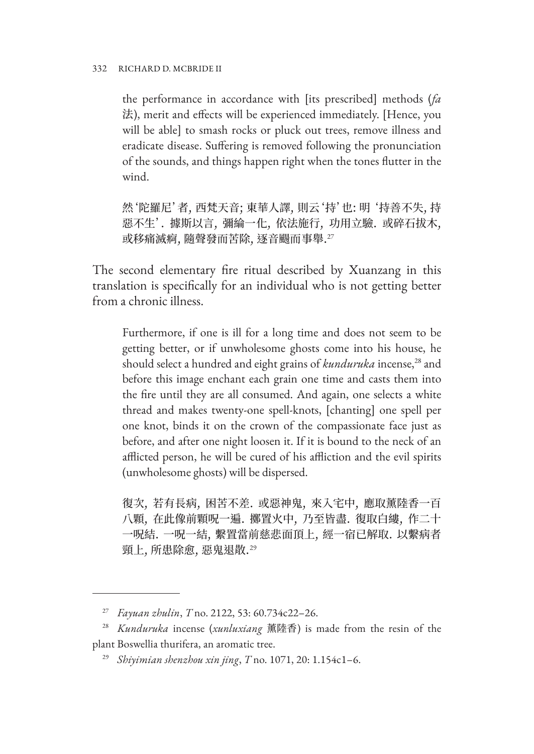#### 332 RICHARD D. MCBRIDE II

the performance in accordance with [its prescribed] methods (*fa* 法), merit and effects will be experienced immediately. [Hence, you will be able] to smash rocks or pluck out trees, remove illness and eradicate disease. Suffering is removed following the pronunciation of the sounds, and things happen right when the tones flutter in the wind.

然'陀羅尼'者, 西梵天音; 東華人譯, 則云'持'也: 明 '持善不失, 持 惡不生'. 據斯以言, 彌綸一化, 依法施行, 功用立驗. 或碎石拔木, 或移痛滅痾, 隨聲發而苦除, 逐音颺而事舉.<sup>27</sup>

The second elementary fire ritual described by Xuanzang in this translation is specifically for an individual who is not getting better from a chronic illness.

Furthermore, if one is ill for a long time and does not seem to be getting better, or if unwholesome ghosts come into his house, he should select a hundred and eight grains of *kunduruka* incense,<sup>28</sup> and before this image enchant each grain one time and casts them into the fire until they are all consumed. And again, one selects a white thread and makes twenty-one spell-knots, [chanting] one spell per one knot, binds it on the crown of the compassionate face just as before, and after one night loosen it. If it is bound to the neck of an afflicted person, he will be cured of his affliction and the evil spirits (unwholesome ghosts) will be dispersed.

復次, 若有長病, 困苦不差. 或惡神鬼, 來入宅中, 應取薰陸香一百 八顆, 在此像前顆呪一遍. 擲置火中, 乃至皆盡. 復取白縷, 作二十 一呪結. 一呪一結, 繫置當前慈悲面頂上, 經一宿已解取. 以繫病者 頸上, 所患除愈, 惡鬼退散.<sup>29</sup>

<sup>27</sup> *Fayuan zhulin*, *T* no. 2122, 53: 60.734c22–26.

<sup>28</sup> *Kunduruka* incense (*xunluxiang* 薰陸香) is made from the resin of the plant Boswellia thurifera, an aromatic tree.

<sup>29</sup> *Shiyimian shenzhou xin jing*, *T* no. 1071, 20: 1.154c1–6.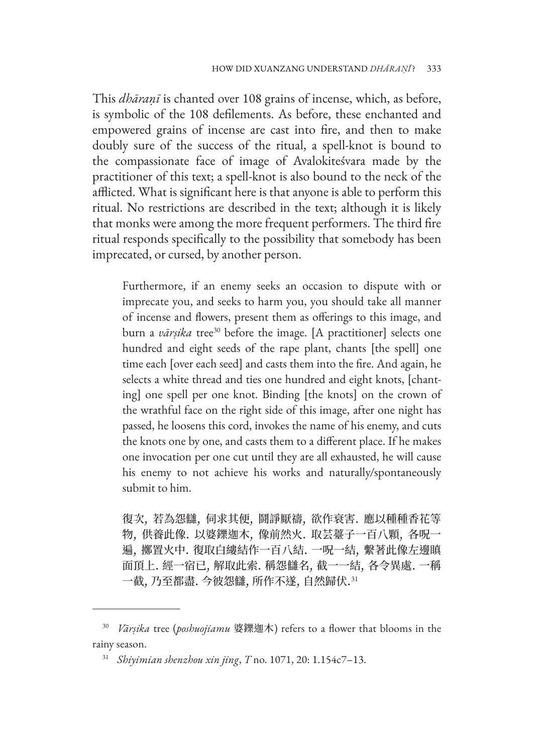This *dhāraṇī* is chanted over 108 grains of incense, which, as before, is symbolic of the 108 defilements. As before, these enchanted and empowered grains of incense are cast into fire, and then to make doubly sure of the success of the ritual, a spell-knot is bound to the compassionate face of image of Avalokiteśvara made by the practitioner of this text; a spell-knot is also bound to the neck of the afflicted. What is significant here is that anyone is able to perform this ritual. No restrictions are described in the text; although it is likely that monks were among the more frequent performers. The third fire ritual responds specifically to the possibility that somebody has been imprecated, or cursed, by another person.

Furthermore, if an enemy seeks an occasion to dispute with or imprecate you, and seeks to harm you, you should take all manner of incense and flowers, present them as offerings to this image, and burn a *vārsika* tree<sup>30</sup> before the image. [A practitioner] selects one hundred and eight seeds of the rape plant, chants [the spell] one time each [over each seed] and casts them into the fire. And again, he selects a white thread and ties one hundred and eight knots, [chanting] one spell per one knot. Binding [the knots] on the crown of the wrathful face on the right side of this image, after one night has passed, he loosens this cord, invokes the name of his enemy, and cuts the knots one by one, and casts them to a different place. If he makes one invocation per one cut until they are all exhausted, he will cause his enemy to not achieve his works and naturally/spontaneously submit to him.

復次, 若為怨讎, 伺求其便, 鬪諍厭禱, 欲作衰害. 應以種種香花等 物, 供養此像. 以婆鑠迦木, 像前然火. 取芸薹子一百八顆, 各呪一 遍, 擲置火中. 復取白縷結作一百八結. 一呪一結, 繫著此像左邊瞋 面頂上. 經一宿已, 解取此索. 稱怨讎名, 截一一結, 各令異處. 一稱 一截,乃至都盡. 今彼怨讎,所作不遂,自然歸伏.  $^{31}$ 

<sup>30</sup> *Vārṣika* tree (*poshuojiamu* 婆鑠迦木) refers to a flower that blooms in the rainy season.

<sup>31</sup> *Shiyimian shenzhou xin jing*, *T* no. 1071, 20: 1.154c7–13.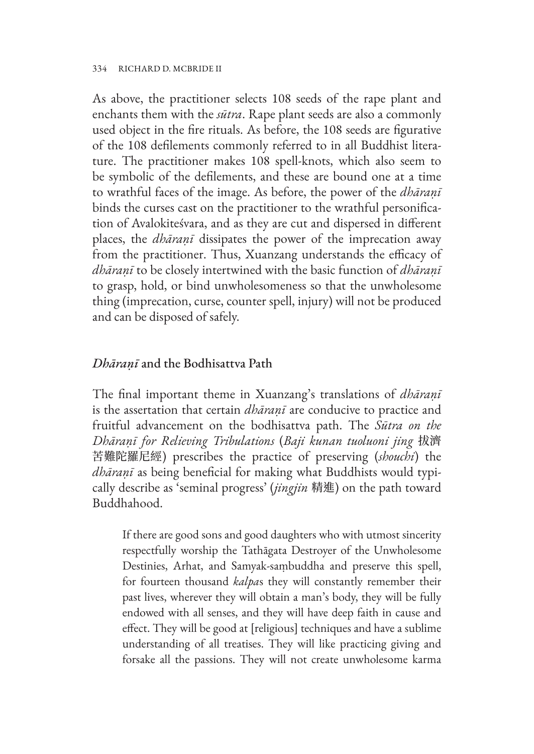As above, the practitioner selects 108 seeds of the rape plant and enchants them with the *sūtra*. Rape plant seeds are also a commonly used object in the fire rituals. As before, the 108 seeds are figurative of the 108 defilements commonly referred to in all Buddhist literature. The practitioner makes 108 spell-knots, which also seem to be symbolic of the defilements, and these are bound one at a time to wrathful faces of the image. As before, the power of the *dhāraṇī* binds the curses cast on the practitioner to the wrathful personification of Avalokiteśvara, and as they are cut and dispersed in different places, the *dhāraṇī* dissipates the power of the imprecation away from the practitioner. Thus, Xuanzang understands the efficacy of *dhāraṇī* to be closely intertwined with the basic function of *dhāraṇī* to grasp, hold, or bind unwholesomeness so that the unwholesome thing (imprecation, curse, counter spell, injury) will not be produced and can be disposed of safely.

#### *Dhāraṇī* and the Bodhisattva Path

The final important theme in Xuanzang's translations of *dhāraṇī* is the assertation that certain *dhāraṇī* are conducive to practice and fruitful advancement on the bodhisattva path. The *Sūtra on the Dhāraṇī for Relieving Tribulations* (*Baji kunan tuoluoni jing* 拔濟 苦難陀羅尼經) prescribes the practice of preserving (*shouchi*) the *dhāraṇī* as being beneficial for making what Buddhists would typically describe as 'seminal progress' (*jingjin* 精進) on the path toward Buddhahood.

If there are good sons and good daughters who with utmost sincerity respectfully worship the Tathāgata Destroyer of the Unwholesome Destinies, Arhat, and Samyak-saṃbuddha and preserve this spell, for fourteen thousand *kalpa*s they will constantly remember their past lives, wherever they will obtain a man's body, they will be fully endowed with all senses, and they will have deep faith in cause and effect. They will be good at [religious] techniques and have a sublime understanding of all treatises. They will like practicing giving and forsake all the passions. They will not create unwholesome karma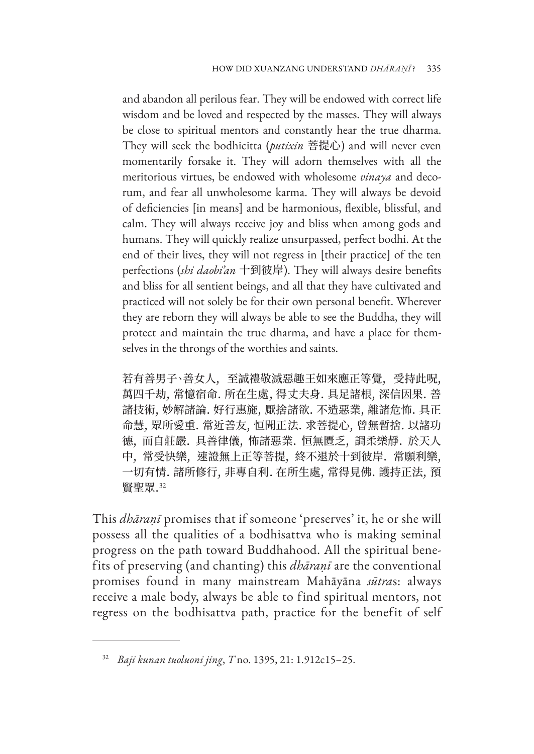and abandon all perilous fear. They will be endowed with correct life wisdom and be loved and respected by the masses. They will always be close to spiritual mentors and constantly hear the true dharma. They will seek the bodhicitta (*putixin* 菩提心) and will never even momentarily forsake it. They will adorn themselves with all the meritorious virtues, be endowed with wholesome *vinaya* and decorum, and fear all unwholesome karma. They will always be devoid of deficiencies [in means] and be harmonious, flexible, blissful, and calm. They will always receive joy and bliss when among gods and humans. They will quickly realize unsurpassed, perfect bodhi. At the end of their lives, they will not regress in [their practice] of the ten perfections (*shi daobi'an* 十到彼岸). They will always desire benefits and bliss for all sentient beings, and all that they have cultivated and practiced will not solely be for their own personal benefit. Wherever they are reborn they will always be able to see the Buddha, they will protect and maintain the true dharma, and have a place for themselves in the throngs of the worthies and saints.

若有善男子、善女人, 至誠禮敬滅惡趣王如來應正等覺, 受持此呪, 萬四千劫, 常憶宿命. 所在生處, 得丈夫身. 具足諸根, 深信因果. 善 諸技術, 妙解諸論. 好行惠施, 厭捨諸欲. 不造惡業, 離諸危怖. 具正 命慧, 眾所愛重. 常近善友, 恒聞正法. 求菩提心, 曾無暫捨. 以諸功 德, 而自莊嚴. 具善律儀, 怖諸惡業. 恒無匱乏, 調柔樂靜. 於天人 中, 常受快樂, 速證無上正等菩提, 終不退於十到彼岸. 常願利樂, 一切有情. 諸所修行, 非專自利. 在所生處, 常得見佛. 護持正法, 預 賢聖眾.<sup>32</sup>

This *dhāraṇī* promises that if someone 'preserves' it, he or she will possess all the qualities of a bodhisattva who is making seminal progress on the path toward Buddhahood. All the spiritual benefits of preserving (and chanting) this *dhāraṇī* are the conventional promises found in many mainstream Mahāyāna *sūtra*s: always receive a male body, always be able to find spiritual mentors, not regress on the bodhisattva path, practice for the benefit of self

<sup>32</sup> *Baji kunan tuoluoni jing*, *T* no. 1395, 21: 1.912c15–25.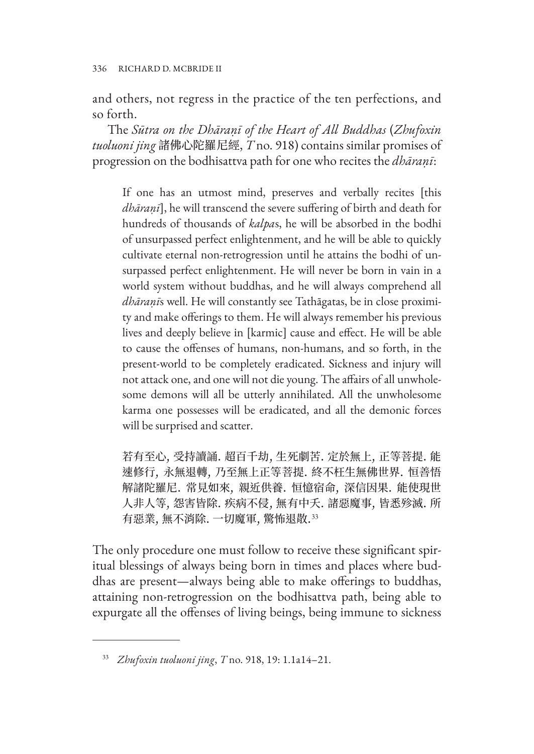and others, not regress in the practice of the ten perfections, and so forth.

The *Sūtra on the Dhāraṇī of the Heart of All Buddhas* (*Zhufoxin tuoluoni jing* 諸佛心陀羅尼經, *T* no. 918) contains similar promises of progression on the bodhisattva path for one who recites the *dhāraṇī*:

If one has an utmost mind, preserves and verbally recites [this *dhāraṇī*], he will transcend the severe suffering of birth and death for hundreds of thousands of *kalpa*s, he will be absorbed in the bodhi of unsurpassed perfect enlightenment, and he will be able to quickly cultivate eternal non-retrogression until he attains the bodhi of unsurpassed perfect enlightenment. He will never be born in vain in a world system without buddhas, and he will always comprehend all *dhāraṇī*s well. He will constantly see Tathāgatas, be in close proximity and make offerings to them. He will always remember his previous lives and deeply believe in [karmic] cause and effect. He will be able to cause the offenses of humans, non-humans, and so forth, in the present-world to be completely eradicated. Sickness and injury will not attack one, and one will not die young. The affairs of all unwholesome demons will all be utterly annihilated. All the unwholesome karma one possesses will be eradicated, and all the demonic forces will be surprised and scatter.

若有至心, 受持讀誦. 超百千劫, 生死劇苦. 定於無上, 正等菩提. 能 速修行, 永無退轉, 乃至無上正等菩提. 終不枉生無佛世界. 恒善悟 解諸陀羅尼. 常見如來, 親近供養. 恒憶宿命, 深信因果. 能使現世 人非人等, 怨害皆除. 疾病不侵, 無有中夭. 諸惡魔事, 皆悉殄滅. 所 有惡業, 無不消除. 一切魔軍, 驚怖退散.<sup>33</sup>

The only procedure one must follow to receive these significant spiritual blessings of always being born in times and places where buddhas are present—always being able to make offerings to buddhas, attaining non-retrogression on the bodhisattva path, being able to expurgate all the offenses of living beings, being immune to sickness

<sup>33</sup> *Zhufoxin tuoluoni jing*, *T* no. 918, 19: 1.1a14–21.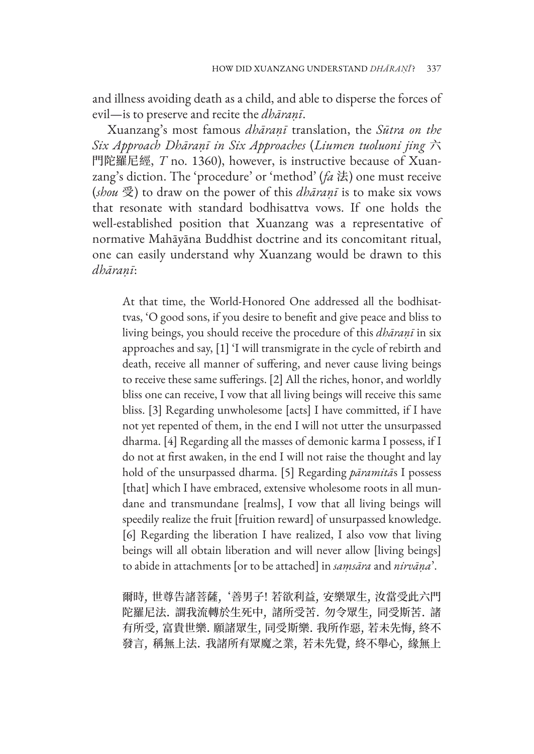and illness avoiding death as a child, and able to disperse the forces of evil—is to preserve and recite the *dhāraṇī*.

Xuanzang's most famous *dhāraṇī* translation, the *Sūtra on the Six Approach Dhāraṇī in Six Approaches* (*Liumen tuoluoni jing* 六 門陀羅尼經, *T* no. 1360), however, is instructive because of Xuanzang's diction. The 'procedure' or 'method' (*fa* 法) one must receive (*shou* 受) to draw on the power of this *dhāraṇī* is to make six vows that resonate with standard bodhisattva vows. If one holds the well-established position that Xuanzang was a representative of normative Mahāyāna Buddhist doctrine and its concomitant ritual, one can easily understand why Xuanzang would be drawn to this *dhāraṇī*:

At that time, the World-Honored One addressed all the bodhisattvas, 'O good sons, if you desire to benefit and give peace and bliss to living beings, you should receive the procedure of this *dhāraṇī* in six approaches and say, [1] 'I will transmigrate in the cycle of rebirth and death, receive all manner of suffering, and never cause living beings to receive these same sufferings. [2] All the riches, honor, and worldly bliss one can receive, I vow that all living beings will receive this same bliss. [3] Regarding unwholesome [acts] I have committed, if I have not yet repented of them, in the end I will not utter the unsurpassed dharma. [4] Regarding all the masses of demonic karma I possess, if I do not at first awaken, in the end I will not raise the thought and lay hold of the unsurpassed dharma. [5] Regarding *pāramitā*s I possess [that] which I have embraced, extensive wholesome roots in all mundane and transmundane [realms], I vow that all living beings will speedily realize the fruit [fruition reward] of unsurpassed knowledge. [6] Regarding the liberation I have realized, I also vow that living beings will all obtain liberation and will never allow [living beings] to abide in attachments [or to be attached] in *saṃsāra* and *nirvāṇa*'.

爾時, 世尊告諸菩薩, '善男子! 若欲利益, 安樂眾生, 汝當受此六門 陀羅尼法. 謂我流轉於生死中, 諸所受苦. 勿令眾生, 同受斯苦. 諸 有所受, 富貴世樂. 願諸眾生, 同受斯樂. 我所作惡, 若未先悔, 終不 發言, 稱無上法. 我諸所有眾魔之業, 若未先覺, 終不舉心, 緣無上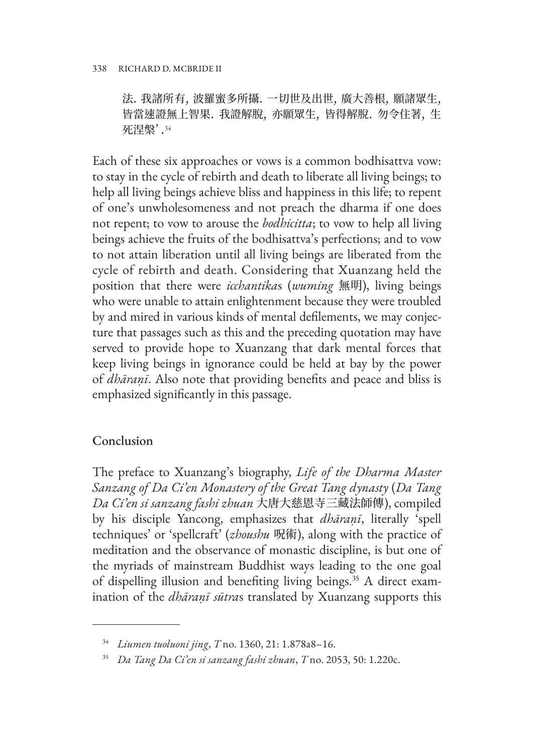法. 我諸所有, 波羅蜜多所攝. 一切世及出世, 廣大善根, 願諸眾生, 皆當速證無上智果. 我證解脫, 亦願眾生, 皆得解脫. 勿令住著, 生 死涅槃'.<sup>34</sup>

Each of these six approaches or vows is a common bodhisattva vow: to stay in the cycle of rebirth and death to liberate all living beings; to help all living beings achieve bliss and happiness in this life; to repent of one's unwholesomeness and not preach the dharma if one does not repent; to vow to arouse the *bodhicitta*; to vow to help all living beings achieve the fruits of the bodhisattva's perfections; and to vow to not attain liberation until all living beings are liberated from the cycle of rebirth and death. Considering that Xuanzang held the position that there were *icchantika*s (*wuming* 無明), living beings who were unable to attain enlightenment because they were troubled by and mired in various kinds of mental defilements, we may conjecture that passages such as this and the preceding quotation may have served to provide hope to Xuanzang that dark mental forces that keep living beings in ignorance could be held at bay by the power of *dhāraṇī*. Also note that providing benefits and peace and bliss is emphasized significantly in this passage.

# Conclusion

The preface to Xuanzang's biography, *Life of the Dharma Master Sanzang of Da Ci'en Monastery of the Great Tang dynasty* (*Da Tang Da Ci'en si sanzang fashi zhuan* 大唐大慈恩寺三藏法師傳), compiled by his disciple Yancong, emphasizes that *dhāraṇī*, literally 'spell techniques' or 'spellcraft' (*zhoushu* 呪術), along with the practice of meditation and the observance of monastic discipline, is but one of the myriads of mainstream Buddhist ways leading to the one goal of dispelling illusion and benefiting living beings.<sup>35</sup> A direct examination of the *dhāraṇī sūtra*s translated by Xuanzang supports this

<sup>34</sup> *Liumen tuoluoni jing*, *T* no. 1360, 21: 1.878a8–16.

<sup>35</sup> *Da Tang Da Ci'en si sanzang fashi zhuan*, *T* no. 2053, 50: 1.220c.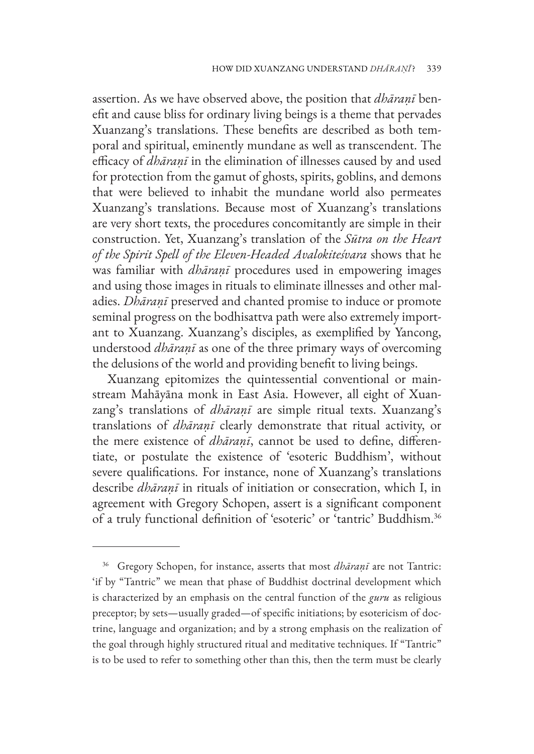assertion. As we have observed above, the position that *dhāraṇī* benefit and cause bliss for ordinary living beings is a theme that pervades Xuanzang's translations. These benefits are described as both temporal and spiritual, eminently mundane as well as transcendent. The efficacy of *dhāraṇī* in the elimination of illnesses caused by and used for protection from the gamut of ghosts, spirits, goblins, and demons that were believed to inhabit the mundane world also permeates Xuanzang's translations. Because most of Xuanzang's translations are very short texts, the procedures concomitantly are simple in their construction. Yet, Xuanzang's translation of the *Sūtra on the Heart of the Spirit Spell of the Eleven-Headed Avalokiteśvara* shows that he was familiar with *dhāraṇī* procedures used in empowering images and using those images in rituals to eliminate illnesses and other maladies. *Dhāraṇī* preserved and chanted promise to induce or promote seminal progress on the bodhisattva path were also extremely important to Xuanzang. Xuanzang's disciples, as exemplified by Yancong, understood *dhāraṇī* as one of the three primary ways of overcoming the delusions of the world and providing benefit to living beings.

Xuanzang epitomizes the quintessential conventional or mainstream Mahāyāna monk in East Asia. However, all eight of Xuanzang's translations of *dhāraṇī* are simple ritual texts. Xuanzang's translations of *dhāraṇī* clearly demonstrate that ritual activity, or the mere existence of *dhāraṇī*, cannot be used to define, differentiate, or postulate the existence of 'esoteric Buddhism', without severe qualifications. For instance, none of Xuanzang's translations describe *dhāraṇī* in rituals of initiation or consecration, which I, in agreement with Gregory Schopen, assert is a significant component of a truly functional definition of 'esoteric' or 'tantric' Buddhism.36

<sup>36</sup> Gregory Schopen, for instance, asserts that most *dhāraṇī* are not Tantric: 'if by "Tantric" we mean that phase of Buddhist doctrinal development which is characterized by an emphasis on the central function of the *guru* as religious preceptor; by sets—usually graded—of specific initiations; by esotericism of doctrine, language and organization; and by a strong emphasis on the realization of the goal through highly structured ritual and meditative techniques. If "Tantric" is to be used to refer to something other than this, then the term must be clearly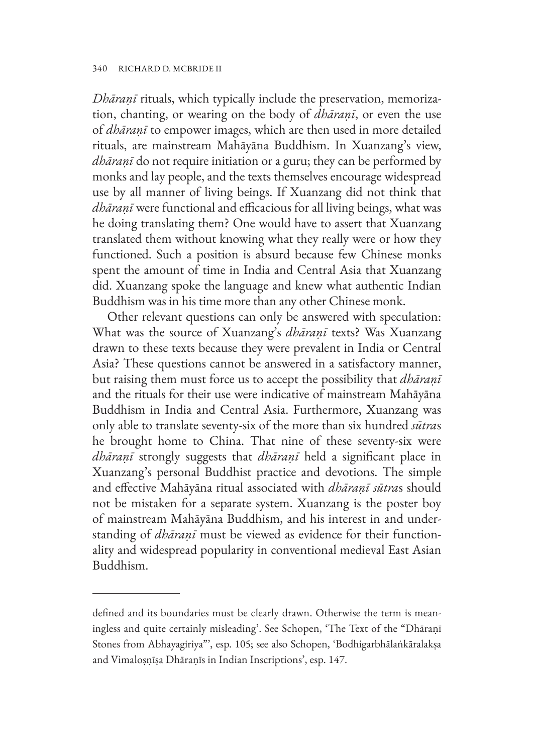*Dhāraṇī* rituals, which typically include the preservation, memorization, chanting, or wearing on the body of *dhāraṇī*, or even the use of *dhāraṇī* to empower images, which are then used in more detailed rituals, are mainstream Mahāyāna Buddhism. In Xuanzang's view, *dhāraṇī* do not require initiation or a guru; they can be performed by monks and lay people, and the texts themselves encourage widespread use by all manner of living beings. If Xuanzang did not think that *dhāraṇī* were functional and efficacious for all living beings, what was he doing translating them? One would have to assert that Xuanzang translated them without knowing what they really were or how they functioned. Such a position is absurd because few Chinese monks spent the amount of time in India and Central Asia that Xuanzang did. Xuanzang spoke the language and knew what authentic Indian Buddhism was in his time more than any other Chinese monk.

Other relevant questions can only be answered with speculation: What was the source of Xuanzang's *dhāraṇī* texts? Was Xuanzang drawn to these texts because they were prevalent in India or Central Asia? These questions cannot be answered in a satisfactory manner, but raising them must force us to accept the possibility that *dhāraṇī* and the rituals for their use were indicative of mainstream Mahāyāna Buddhism in India and Central Asia. Furthermore, Xuanzang was only able to translate seventy-six of the more than six hundred *sūtra*s he brought home to China. That nine of these seventy-six were *dhāraṇī* strongly suggests that *dhāraṇī* held a significant place in Xuanzang's personal Buddhist practice and devotions. The simple and effective Mahāyāna ritual associated with *dhāraṇī sūtra*s should not be mistaken for a separate system. Xuanzang is the poster boy of mainstream Mahāyāna Buddhism, and his interest in and understanding of *dhāraṇī* must be viewed as evidence for their functionality and widespread popularity in conventional medieval East Asian Buddhism.

defined and its boundaries must be clearly drawn. Otherwise the term is meaningless and quite certainly misleading'. See Schopen, 'The Text of the "Dhāraṇī Stones from Abhayagiriya"', esp. 105; see also Schopen, 'Bodhigarbhālaṅkāralakṣa and Vimaloṣṇīṣa Dhāraṇīs in Indian Inscriptions', esp. 147.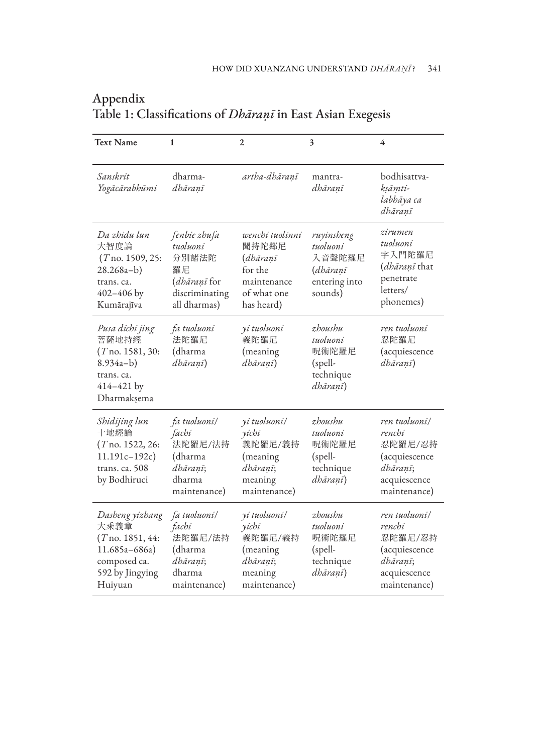| <b>Text Name</b>                                                                                                | 1                                                                                                | $\overline{2}$                                                                              | 3                                                                        | 4                                                                                               |
|-----------------------------------------------------------------------------------------------------------------|--------------------------------------------------------------------------------------------------|---------------------------------------------------------------------------------------------|--------------------------------------------------------------------------|-------------------------------------------------------------------------------------------------|
| Sanskrit<br>Yogācārabhūmi                                                                                       | dharma-<br>dhāranī                                                                               | artha-dhāranī                                                                               | mantra-<br>dhāranī                                                       | bodhisattva-<br>ksāmti-<br>labhāya ca<br>dhāraņī                                                |
| Da zhidu lun<br>大智度論<br>$(T$ no. 1509, 25:<br>$28.268a-b)$<br>trans, ca.<br>$402 - 406$ by<br>Kumārajīva        | fenbie zhufa<br>tuoluoni<br>分別諸法陀<br>羅尼<br><i>(dhāraṇī</i> for<br>discriminating<br>all dharmas) | wenchi tuolinni<br>聞持陀鄰尼<br>(dhāranī<br>for the<br>maintenance<br>of what one<br>has heard) | ruyinsheng<br>tuoluoni<br>入音聲陀羅尼<br>(dhāranī<br>entering into<br>sounds) | zirumen<br>tuoluoni<br>字入門陀羅尼<br>( <i>dhāranī</i> that<br>penetrate<br>letters/<br>phonemes)    |
| Pusa dichi jing<br>菩薩地持經<br>$(T$ no. 1581, 30:<br>$8.934a-b)$<br>trans. ca.<br>$414 - 421$ by<br>Dharmakṣema    | fa tuoluoni<br>法陀羅尼<br>(dharma<br>dhāranī)                                                       | yi tuoluoni<br>義陀羅尼<br>(meaning)<br>dhāranī)                                                | zhoushu<br>tuoluoni<br>呪術陀羅尼<br>(spell-<br>technique<br>dhāraņī)         | ren tuoluoni<br>忍陀羅尼<br>(acquiescence<br>dhāranī)                                               |
| Shidijing lun<br>十地經論<br>$(T$ no. 1522, 26:<br>$11.191c - 192c$<br>trans. ca. 508<br>by Bodhiruci               | fa tuoluoni/<br>fachi<br>法陀羅尼/法持<br>(dharma<br>dhāranī;<br>dharma<br>maintenance)                | yi tuoluoni/<br>vichi<br>義陀羅尼/義持<br>(meaning)<br>dhāranī;<br>meaning<br>maintenance)        | zhoushu<br>tuoluoni<br>呪術陀羅尼<br>(spell-<br>technique<br>dhāranī)         | ren tuoluoni/<br>renchi<br>忍陀羅尼/忍持<br>(acquiescence<br>dhāranī;<br>acquiescence<br>maintenance) |
| Dasheng yizhang<br>大乘義章<br>$(T$ no. 1851, 44:<br>$11.685a - 686a$<br>composed ca.<br>592 by Jingying<br>Huiyuan | fa tuoluoni/<br>fachi<br>法陀羅尼/法持<br>(dharma<br>dhāraņī;<br>dharma<br>maintenance)                | yi tuoluoni/<br>yichi<br>義陀羅尼/義持<br>(meaning)<br>dhāranī;<br>meaning<br>maintenance)        | zhoushu<br>tuoluoni<br>呪術陀羅尼<br>(spell-<br>technique<br>dhāraņī)         | ren tuoluoni/<br>renchi<br>忍陀羅尼/忍持<br>(acquiescence<br>dhāranī;<br>acquiescence<br>maintenance) |

## Appendix Table 1: Classifications of *Dhāraṇī* in East Asian Exegesis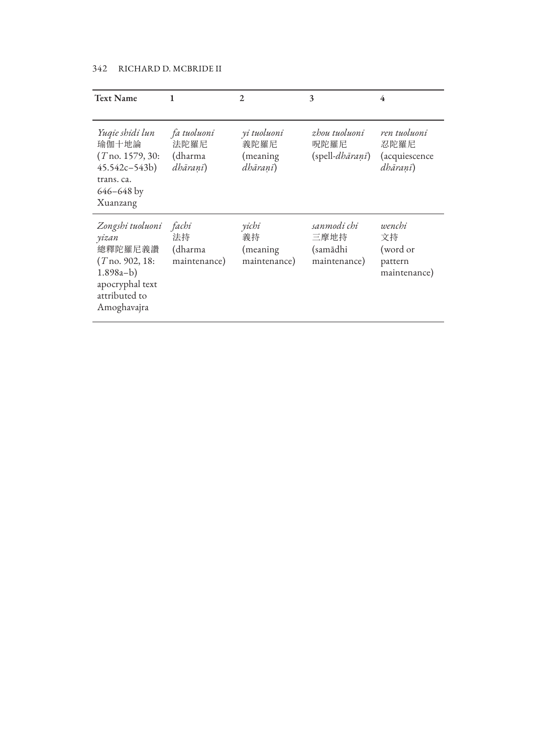| <b>Text Name</b>                                                                                                            | 1                                          | 2                                           | 3                                                    | 4                                                         |
|-----------------------------------------------------------------------------------------------------------------------------|--------------------------------------------|---------------------------------------------|------------------------------------------------------|-----------------------------------------------------------|
| Yuqie shidi lun<br>瑜伽十地論<br>$(T$ no. 1579, 30:<br>$45.542c - 543b$<br>trans. ca.<br>$646 - 648$ by<br>Xuanzang              | fa tuoluoni<br>法陀羅尼<br>(dharma<br>dhāranī) | yi tuoluoni<br>義陀羅尼<br>(meaning<br>dhāraņī) | zhou tuoluoni<br>呪陀羅尼<br>$(s$ pell- <i>dhāraņī</i> ) | ren tuoluoni<br>忍陀羅尼<br><i>(acquiescence)</i><br>dhāranī) |
| Zongshi tuoluoni<br>yizan<br>總釋陀羅尼義讚<br>$(T$ no. 902, 18:<br>$1.898a-b)$<br>apocryphal text<br>attributed to<br>Amoghavajra | fachi<br>法持<br>(dharma<br>maintenance)     | yichi<br>義持<br>(meaning)<br>maintenance)    | sanmodi chi<br>三摩地持<br>(samādhi<br>maintenance)      | wenchi<br>文持<br>(word or<br>pattern<br>maintenance)       |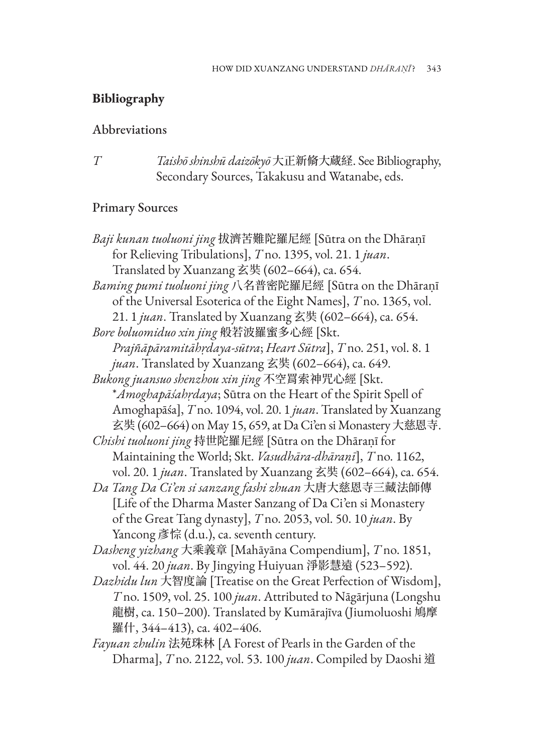# **Bibliography**

#### Abbreviations

*T Taishō shinshū daizōkyō* 大正新脩大蔵経. See Bibliography, Secondary Sources, Takakusu and Watanabe, eds.

## Primary Sources

| Baji kunan tuoluoni jing 拔濟苦難陀羅尼經 [Sūtra on the Dhāraṇī          |  |  |  |  |
|------------------------------------------------------------------|--|--|--|--|
| for Relieving Tribulations], T no. 1395, vol. 21. 1 juan.        |  |  |  |  |
| Translated by Xuanzang 玄奘 (602-664), ca. 654.                    |  |  |  |  |
| Baming pumi tuoluoni jing 八名普密陀羅尼經 [Sūtra on the Dhāraṇī         |  |  |  |  |
| of the Universal Esoterica of the Eight Names], T no. 1365, vol. |  |  |  |  |
| 21. 1 juan. Translated by Xuanzang 玄奘 (602-664), ca. 654.        |  |  |  |  |
| Bore boluomiduo xin jing 般若波羅蜜多心經 [Skt.                          |  |  |  |  |
| Prajñāpāramitāhrdaya-sūtra; Heart Sūtra], T no. 251, vol. 8. 1   |  |  |  |  |
| juan. Translated by Xuanzang 玄奘 (602-664), ca. 649.              |  |  |  |  |
| Bukong juansuo shenzhou xin jing 不空罥索神咒心經 [Skt.                  |  |  |  |  |
| *Amoghapāśahrdaya; Sūtra on the Heart of the Spirit Spell of     |  |  |  |  |
| Amoghapāśa], T no. 1094, vol. 20. 1 juan. Translated by Xuanzang |  |  |  |  |
| 玄奘 (602-664) on May 15, 659, at Da Ci'en si Monastery 大慈恩寺.      |  |  |  |  |
| Chishi tuoluoni jing 持世陀羅尼經 [Sūtra on the Dhāraṇī for            |  |  |  |  |
| Maintaining the World; Skt. Vasudhāra-dhāraṇī], T no. 1162,      |  |  |  |  |
| vol. 20. 1 juan. Translated by Xuanzang 玄奘 (602-664), ca. 654.   |  |  |  |  |
| Da Tang Da Ci'en si sanzang fashi zhuan 大唐大慈恩寺三藏法師傳              |  |  |  |  |
| [Life of the Dharma Master Sanzang of Da Ci'en si Monastery      |  |  |  |  |
| of the Great Tang dynasty], T no. 2053, vol. 50. 10 juan. By     |  |  |  |  |
| Yancong 彥悰 (d.u.), ca. seventh century.                          |  |  |  |  |
| Dasheng yizhang 大乘義章 [Mahāyāna Compendium], T no. 1851,          |  |  |  |  |
| vol. 44. 20 juan. By Jingying Huiyuan 淨影慧遠 (523-592).            |  |  |  |  |
| Dazhidu lun 大智度論 [Treatise on the Great Perfection of Wisdom],   |  |  |  |  |
| T no. 1509, vol. 25. 100 juan. Attributed to Nāgārjuna (Longshu  |  |  |  |  |
| 龍樹, ca. 150–200). Translated by Kumārajīva (Jiumoluoshi 鳩摩       |  |  |  |  |
| 羅什, 344–413), ca. 402–406.                                       |  |  |  |  |

*Fayuan zhulin* 法苑珠林 [A Forest of Pearls in the Garden of the Dharma], *T* no. 2122, vol. 53. 100 *juan*. Compiled by Daoshi 道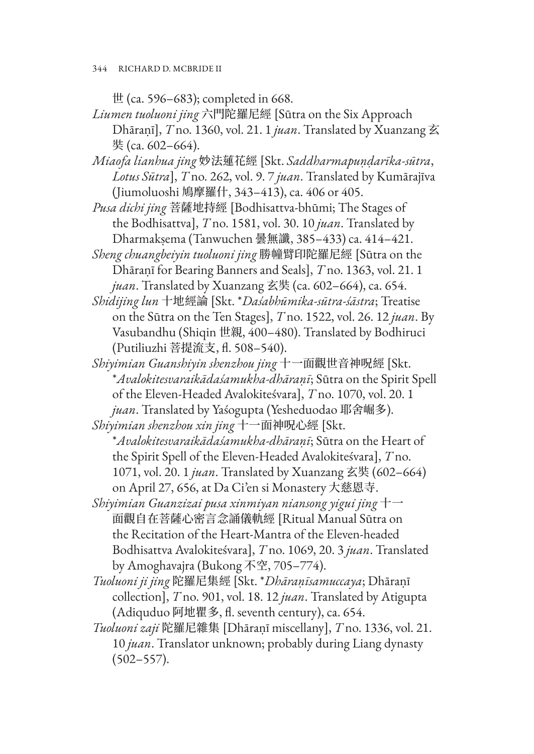世 (ca. 596–683); completed in 668.

*Liumen tuoluoni jing* 六門陀羅尼經 [Sūtra on the Six Approach Dhāraṇī], *T* no. 1360, vol. 21. 1 *juan*. Translated by Xuanzang 玄 奘 (ca. 602–664).

*Miaofa lianhua jing* 妙法蓮花經 [Skt. *Saddharmapuṇḍarīka-sūtra*, *Lotus Sūtra*], *T* no. 262, vol. 9. 7 *juan*. Translated by Kumārajīva (Jiumoluoshi 鳩摩羅什, 343–413), ca. 406 or 405.

*Pusa dichi jing* 菩薩地持經 [Bodhisattva-bhūmi; The Stages of the Bodhisattva], *T* no. 1581, vol. 30. 10 *juan*. Translated by Dharmakṣema (Tanwuchen 曇無讖, 385–433) ca. 414–421.

- *Sheng chuangbeiyin tuoluoni jing* 勝幢臂印陀羅尼經 [Sūtra on the Dhāraṇī for Bearing Banners and Seals], *T* no. 1363, vol. 21. 1 *juan*. Translated by Xuanzang 玄奘 (ca. 602–664), ca. 654.
- *Shidijing lun* 十地經論 [Skt. \**Daśabhūmika-sūtra-śāstra*; Treatise on the Sūtra on the Ten Stages], *T* no. 1522, vol. 26. 12 *juan*. By Vasubandhu (Shiqin 世親, 400–480). Translated by Bodhiruci (Putiliuzhi 菩提流支, fl. 508–540).
- *Shiyimian Guanshiyin shenzhou jing* 十一面觀世音神呪經 [Skt. \**Avalokitesvaraikādaśamukha-dhāraṇī*; Sūtra on the Spirit Spell of the Eleven-Headed Avalokiteśvara], *T* no. 1070, vol. 20. 1 *juan*. Translated by Yaśogupta (Yesheduodao 耶舍崛多).

*Shiyimian shenzhou xin jing* 十一面神呪心經 [Skt. \**Avalokitesvaraikādaśamukha-dhāraṇī*; Sūtra on the Heart of the Spirit Spell of the Eleven-Headed Avalokiteśvara], *T* no. 1071, vol. 20. 1 *juan*. Translated by Xuanzang 玄奘 (602–664) on April 27, 656, at Da Ci'en si Monastery 大慈恩寺.

*Shiyimian Guanzizai pusa xinmiyan niansong yigui jing* 十一 面觀自在菩薩心密言念誦儀軌經 [Ritual Manual Sūtra on the Recitation of the Heart-Mantra of the Eleven-headed Bodhisattva Avalokiteśvara], *T* no. 1069, 20. 3 *juan*. Translated by Amoghavajra (Bukong 不空, 705–774).

- *Tuoluoni ji jing* 陀羅尼集經 [Skt. \**Dhāraṇīsamuccaya*; Dhāraṇī collection], *T* no. 901, vol. 18. 12 *juan*. Translated by Atigupta (Adiquduo 阿地瞿多, fl. seventh century), ca. 654.
- *Tuoluoni zaji* 陀羅尼雜集 [Dhāraṇī miscellany], *T* no. 1336, vol. 21. 10 *juan*. Translator unknown; probably during Liang dynasty (502–557).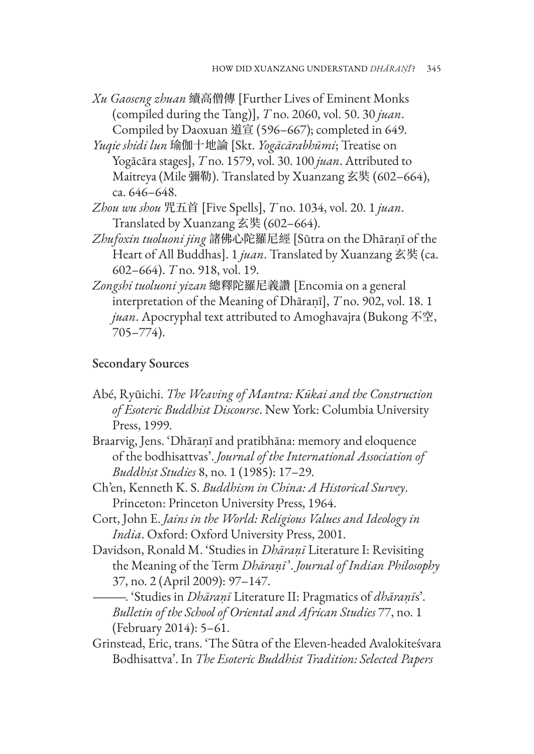- *Xu Gaoseng zhuan* 續高僧傳 [Further Lives of Eminent Monks (compiled during the Tang)], *T* no. 2060, vol. 50. 30 *juan*. Compiled by Daoxuan 道宣 (596–667); completed in 649.
- *Yuqie shidi lun* 瑜伽十地論 [Skt. *Yogācārabhūmi*; Treatise on Yogācāra stages], *T* no. 1579, vol. 30. 100 *juan*. Attributed to Maitreya (Mile 彌勒). Translated by Xuanzang 玄奘 (602–664), ca. 646–648.
- *Zhou wu shou* 咒五首 [Five Spells], *T* no. 1034, vol. 20. 1 *juan*. Translated by Xuanzang 玄奘 (602–664).
- *Zhufoxin tuoluoni jing* 諸佛心陀羅尼經 [Sūtra on the Dhāraṇī of the Heart of All Buddhas]. 1 *juan*. Translated by Xuanzang 玄奘 (ca. 602–664). *T* no. 918, vol. 19.
- *Zongshi tuoluoni yizan* 總釋陀羅尼義讚 [Encomia on a general interpretation of the Meaning of Dhāraṇī], *T* no. 902, vol. 18. 1 *juan*. Apocryphal text attributed to Amoghavajra (Bukong 不空, 705–774).

#### Secondary Sources

- Abé, Ryūichi. *The Weaving of Mantra: Kūkai and the Construction of Esoteric Buddhist Discourse*. New York: Columbia University Press, 1999.
- Braarvig, Jens. 'Dhāraṇī and pratibhāna: memory and eloquence of the bodhisattvas'. *Journal of the International Association of Buddhist Studies* 8, no. 1 (1985): 17–29.
- Ch'en, Kenneth K. S. *Buddhism in China: A Historical Survey*. Princeton: Princeton University Press, 1964.
- Cort, John E. *Jains in the World: Religious Values and Ideology in India*. Oxford: Oxford University Press, 2001.
- Davidson, Ronald M. 'Studies in *Dhāraṇī* Literature I: Revisiting the Meaning of the Term *Dhāraṇī*'. *Journal of Indian Philosophy* 37, no. 2 (April 2009): 97–147.
	- ———. 'Studies in *Dhāraṇī* Literature II: Pragmatics of *dhāraṇī*s'. *Bulletin of the School of Oriental and African Studies* 77, no. 1 (February 2014): 5–61.
- Grinstead, Eric, trans. 'The Sūtra of the Eleven-headed Avalokiteśvara Bodhisattva'. In *The Esoteric Buddhist Tradition: Selected Papers*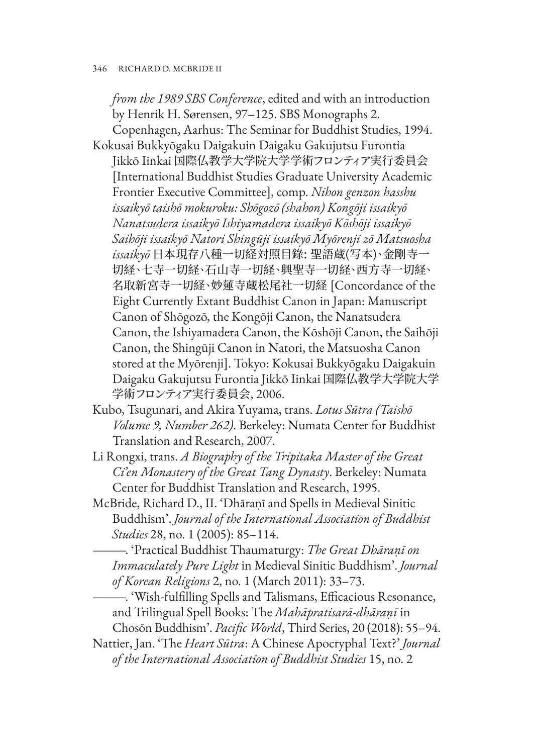*from the 1989 SBS Conference*, edited and with an introduction by Henrik H. Sørensen, 97–125. SBS Monographs 2.

- Copenhagen, Aarhus: The Seminar for Buddhist Studies, 1994. Kokusai Bukkyōgaku Daigakuin Daigaku Gakujutsu Furontia Jikkō Iinkai 国際仏教学大学院大学学術フロンティア実行委員会 [International Buddhist Studies Graduate University Academic Frontier Executive Committee], comp. *Nihon genzon hasshu issaikyō taishō mokuroku: Shōgozō (shahon) Kongōji issaikyō Nanatsudera issaikyō Ishiyamadera issaikyō Kōshōji issaikyō Saihōji issaikyō Natori Shingūji issaikyō Myōrenji zō Matsuosha issaikyō* 日本現存八種一切経対照目錄: 聖語蔵(写本)、金剛寺一 切経、七寺一切経、石山寺一切経、興聖寺一切経、西方寺一切経、 名取新宮寺一切経、妙蓮寺蔵松尾社一切経 [Concordance of the Eight Currently Extant Buddhist Canon in Japan: Manuscript Canon of Shōgozō, the Kongōji Canon, the Nanatsudera Canon, the Ishiyamadera Canon, the Kōshōji Canon, the Saihōji Canon, the Shingūji Canon in Natori, the Matsuosha Canon stored at the Myōrenji]. Tokyo: Kokusai Bukkyōgaku Daigakuin Daigaku Gakujutsu Furontia Jikkō Iinkai 国際仏教学大学院大学 学術フロンティア実行委員会, 2006.
- Kubo, Tsugunari, and Akira Yuyama, trans. *Lotus Sūtra (Taishō Volume 9, Number 262)*. Berkeley: Numata Center for Buddhist Translation and Research, 2007.
- Li Rongxi, trans. *A Biography of the Tripitaka Master of the Great Ci'en Monastery of the Great Tang Dynasty*. Berkeley: Numata Center for Buddhist Translation and Research, 1995.
- McBride, Richard D., II. 'Dhāraṇī and Spells in Medieval Sinitic Buddhism'. *Journal of the International Association of Buddhist Studies* 28, no. 1 (2005): 85–114.
	- ———. 'Practical Buddhist Thaumaturgy: *The Great Dhāraṇī on Immaculately Pure Light* in Medieval Sinitic Buddhism'. *Journal of Korean Religions* 2, no. 1 (March 2011): 33–73.
- ———. 'Wish-fulfilling Spells and Talismans, Efficacious Resonance, and Trilingual Spell Books: The *Mahāpratisarā-dhāraṇī* in Chosŏn Buddhism'. *Pacific World*, Third Series, 20 (2018): 55–94.
- Nattier, Jan. 'The *Heart Sūtra*: A Chinese Apocryphal Text?' *Journal of the International Association of Buddhist Studies* 15, no. 2